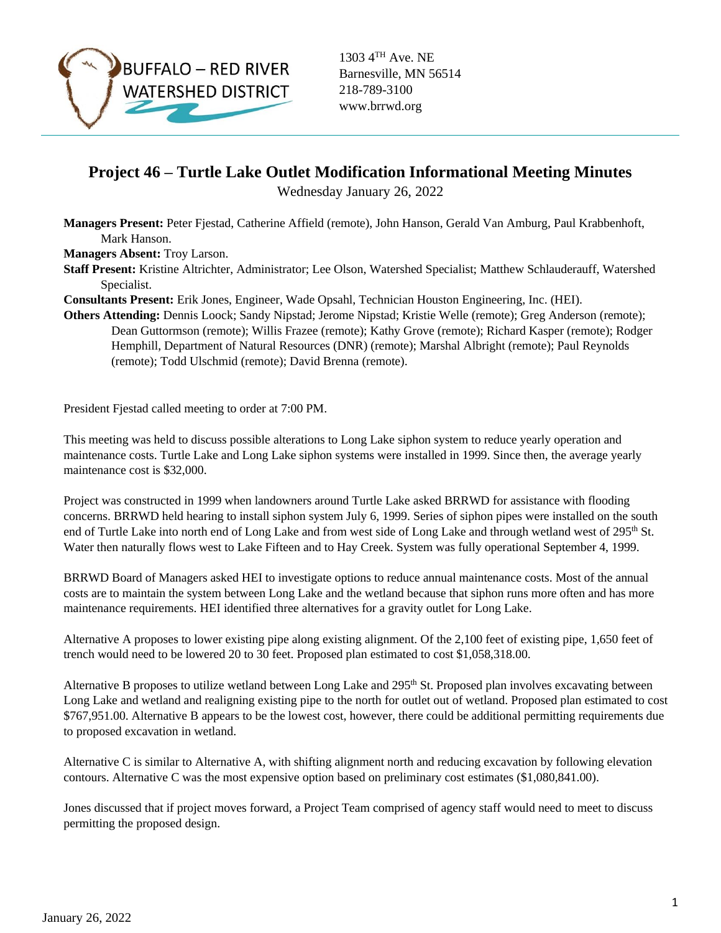

1303 4TH Ave. NE Barnesville, MN 56514 218-789-3100 www.brrwd.org

## **Project 46 – Turtle Lake Outlet Modification Informational Meeting Minutes**

Wednesday January 26, 2022

**Managers Present:** Peter Fjestad, Catherine Affield (remote), John Hanson, Gerald Van Amburg, Paul Krabbenhoft, Mark Hanson.

**Managers Absent:** Troy Larson.

**Staff Present:** Kristine Altrichter, Administrator; Lee Olson, Watershed Specialist; Matthew Schlauderauff, Watershed Specialist.

**Consultants Present:** Erik Jones, Engineer, Wade Opsahl, Technician Houston Engineering, Inc. (HEI).

**Others Attending:** Dennis Loock; Sandy Nipstad; Jerome Nipstad; Kristie Welle (remote); Greg Anderson (remote); Dean Guttormson (remote); Willis Frazee (remote); Kathy Grove (remote); Richard Kasper (remote); Rodger Hemphill, Department of Natural Resources (DNR) (remote); Marshal Albright (remote); Paul Reynolds (remote); Todd Ulschmid (remote); David Brenna (remote).

President Fjestad called meeting to order at 7:00 PM.

This meeting was held to discuss possible alterations to Long Lake siphon system to reduce yearly operation and maintenance costs. Turtle Lake and Long Lake siphon systems were installed in 1999. Since then, the average yearly maintenance cost is \$32,000.

Project was constructed in 1999 when landowners around Turtle Lake asked BRRWD for assistance with flooding concerns. BRRWD held hearing to install siphon system July 6, 1999. Series of siphon pipes were installed on the south end of Turtle Lake into north end of Long Lake and from west side of Long Lake and through wetland west of 295<sup>th</sup> St. Water then naturally flows west to Lake Fifteen and to Hay Creek. System was fully operational September 4, 1999.

BRRWD Board of Managers asked HEI to investigate options to reduce annual maintenance costs. Most of the annual costs are to maintain the system between Long Lake and the wetland because that siphon runs more often and has more maintenance requirements. HEI identified three alternatives for a gravity outlet for Long Lake.

Alternative A proposes to lower existing pipe along existing alignment. Of the 2,100 feet of existing pipe, 1,650 feet of trench would need to be lowered 20 to 30 feet. Proposed plan estimated to cost \$1,058,318.00.

Alternative B proposes to utilize wetland between Long Lake and 295<sup>th</sup> St. Proposed plan involves excavating between Long Lake and wetland and realigning existing pipe to the north for outlet out of wetland. Proposed plan estimated to cost \$767,951.00. Alternative B appears to be the lowest cost, however, there could be additional permitting requirements due to proposed excavation in wetland.

Alternative C is similar to Alternative A, with shifting alignment north and reducing excavation by following elevation contours. Alternative C was the most expensive option based on preliminary cost estimates (\$1,080,841.00).

Jones discussed that if project moves forward, a Project Team comprised of agency staff would need to meet to discuss permitting the proposed design.